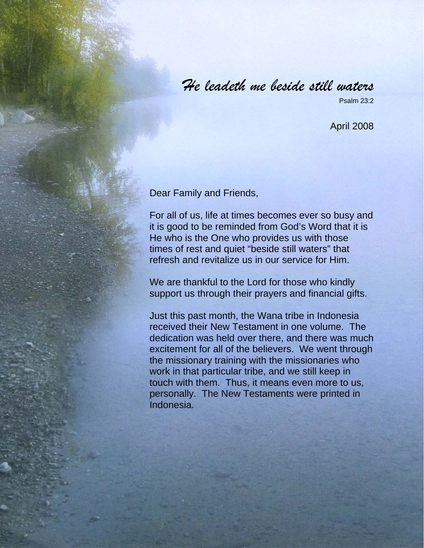## *He leadeth me beside still waters*

Psalm 23:2

April 2008

Dear Family and Friends,

For all of us, life at times becomes ever so busy and it is good to be reminded from God's Word that it is He who is the One who provides us with those times of rest and quiet "beside still waters" that refresh and revitalize us in our service for Him.

We are thankful to the Lord for those who kindly support us through their prayers and financial gifts.

Just this past month, the Wana tribe in Indonesia received their New Testament in one volume. The dedication was held over there, and there was much excitement for all of the believers. We went through the missionary training with the missionaries who work in that particular tribe, and we still keep in touch with them. Thus, it means even more to us, personally. The New Testaments were printed in Indonesia.